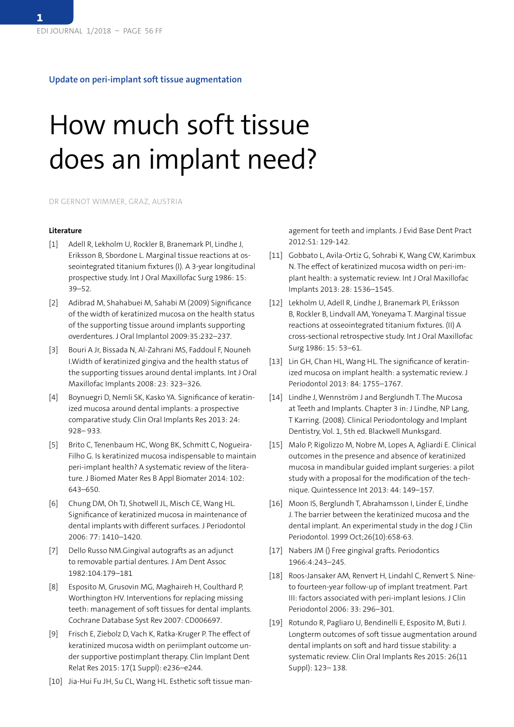## **Update on peri-implant soft tissue augmentation**

## How much soft tissue does an implant need?

DR GERNOT WIMMER, GRAZ, AUSTRIA

## **Literature**

- [1] Adell R, Lekholm U, Rockler B, Branemark PI, Lindhe J, Eriksson B, Sbordone L. Marginal tissue reactions at osseointegrated titanium fixtures (I). A 3-year longitudinal prospective study. Int J Oral Maxillofac Surg 1986: 15: 39–52.
- [2] Adibrad M, Shahabuei M, Sahabi M (2009) Significance of the width of keratinized mucosa on the health status of the supporting tissue around implants supporting overdentures. J Oral Implantol 2009:35:232–237.
- [3] Bouri A Jr, Bissada N, Al-Zahrani MS, Faddoul F, Nouneh I.Width of keratinized gingiva and the health status of the supporting tissues around dental implants. Int J Oral Maxillofac Implants 2008: 23: 323–326.
- [4] Boynuegri D, Nemli SK, Kasko YA. Significance of keratinized mucosa around dental implants: a prospective comparative study. Clin Oral Implants Res 2013: 24: 928– 933.
- [5] Brito C, Tenenbaum HC, Wong BK, Schmitt C, Nogueira-Filho G. Is keratinized mucosa indispensable to maintain peri-implant health? A systematic review of the literature. J Biomed Mater Res B Appl Biomater 2014: 102: 643–650.
- [6] Chung DM, Oh TJ, Shotwell JL, Misch CE, Wang HL. Significance of keratinized mucosa in maintenance of dental implants with different surfaces. J Periodontol 2006: 77: 1410–1420.
- [7] Dello Russo NM.Gingival autografts as an adjunct to removable partial dentures. J Am Dent Assoc 1982:104:179–181
- [8] Esposito M, Grusovin MG, Maghaireh H, Coulthard P, Worthington HV. Interventions for replacing missing teeth: management of soft tissues for dental implants. Cochrane Database Syst Rev 2007: CD006697.
- [9] Frisch E, Ziebolz D, Vach K, Ratka-Kruger P. The effect of keratinized mucosa width on periimplant outcome under supportive postimplant therapy. Clin Implant Dent Relat Res 2015: 17(1 Suppl): e236–e244.
- [10] Jia-Hui Fu JH, Su CL, Wang HL. Esthetic soft tissue man-

agement for teeth and implants. J Evid Base Dent Pract 2012:S1: 129-142.

- [11] Gobbato L, Avila-Ortiz G, Sohrabi K, Wang CW, Karimbux N. The effect of keratinized mucosa width on peri-implant health: a systematic review. Int J Oral Maxillofac Implants 2013: 28: 1536–1545.
- [12] Lekholm U, Adell R, Lindhe J, Branemark PI, Eriksson B, Rockler B, Lindvall AM, Yoneyama T. Marginal tissue reactions at osseointegrated titanium fixtures. (II) A cross-sectional retrospective study. Int J Oral Maxillofac Surg 1986: 15: 53–61.
- [13] Lin GH, Chan HL, Wang HL. The significance of keratinized mucosa on implant health: a systematic review. J Periodontol 2013: 84: 1755–1767.
- [14] Lindhe J, Wennström J and Berglundh T. The Mucosa at Teeth and Implants. Chapter 3 in: J Lindhe, NP Lang, T Karring. (2008). Clinical Periodontology and Implant Dentistry, Vol. 1, 5th ed. Blackwell Munksgard.
- [15] Malo P, Rigolizzo M, Nobre M, Lopes A, Agliardi E. Clinical outcomes in the presence and absence of keratinized mucosa in mandibular guided implant surgeries: a pilot study with a proposal for the modification of the technique. Quintessence Int 2013: 44: 149–157.
- [16] Moon IS, Berglundh T, Abrahamsson I, Linder E, Lindhe J. The barrier between the keratinized mucosa and the dental implant. An experimental study in the dog J Clin Periodontol. 1999 Oct;26(10):658-63.
- [17] Nabers JM () Free gingival grafts. Periodontics 1966:4:243–245.
- [18] Roos-Jansaker AM, Renvert H, Lindahl C, Renvert S. Nineto fourteen-year follow-up of implant treatment. Part III: factors associated with peri-implant lesions. J Clin Periodontol 2006: 33: 296–301.
- [19] Rotundo R, Pagliaro U, Bendinelli E, Esposito M, Buti J. Longterm outcomes of soft tissue augmentation around dental implants on soft and hard tissue stability: a systematic review. Clin Oral Implants Res 2015: 26(11 Suppl): 123– 138.